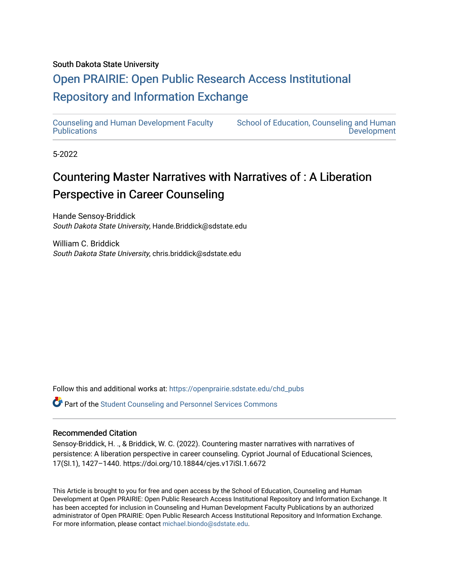# South Dakota State University

# [Open PRAIRIE: Open Public Research Access Institutional](https://openprairie.sdstate.edu/)  [Repository and Information Exchange](https://openprairie.sdstate.edu/)

[Counseling and Human Development Faculty](https://openprairie.sdstate.edu/chd_pubs)  **Publications** 

[School of Education, Counseling and Human](https://openprairie.sdstate.edu/chd)  **Development** 

5-2022

# Countering Master Narratives with Narratives of : A Liberation Perspective in Career Counseling

Hande Sensoy-Briddick South Dakota State University, Hande.Briddick@sdstate.edu

William C. Briddick South Dakota State University, chris.briddick@sdstate.edu

Follow this and additional works at: [https://openprairie.sdstate.edu/chd\\_pubs](https://openprairie.sdstate.edu/chd_pubs?utm_source=openprairie.sdstate.edu%2Fchd_pubs%2F85&utm_medium=PDF&utm_campaign=PDFCoverPages) 

Part of the [Student Counseling and Personnel Services Commons](https://network.bepress.com/hgg/discipline/802?utm_source=openprairie.sdstate.edu%2Fchd_pubs%2F85&utm_medium=PDF&utm_campaign=PDFCoverPages) 

#### Recommended Citation

Sensoy-Briddick, H. ., & Briddick, W. C. (2022). Countering master narratives with narratives of persistence: A liberation perspective in career counseling. Cypriot Journal of Educational Sciences, 17(SI.1), 1427–1440. https://doi.org/10.18844/cjes.v17iSI.1.6672

This Article is brought to you for free and open access by the School of Education, Counseling and Human Development at Open PRAIRIE: Open Public Research Access Institutional Repository and Information Exchange. It has been accepted for inclusion in Counseling and Human Development Faculty Publications by an authorized administrator of Open PRAIRIE: Open Public Research Access Institutional Repository and Information Exchange. For more information, please contact [michael.biondo@sdstate.edu](mailto:michael.biondo@sdstate.edu).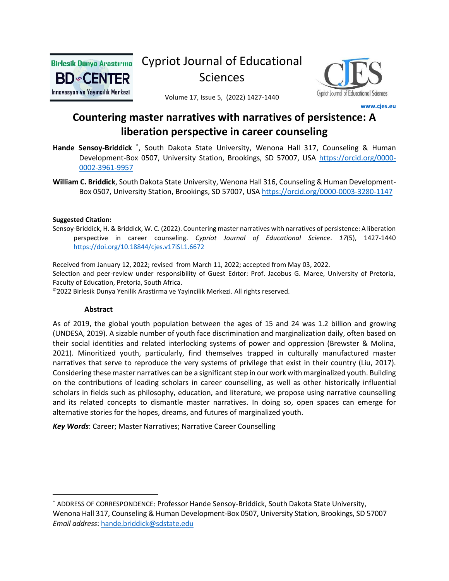

# Cypriot Journal of Educational Sciences



Volume 17, Issue 5, (2022) 1427-1440

# **Countering master narratives with narratives of persistence: A liberation perspective in career counseling**

 **[www.cjes.eu](http://www.cjes.eu/)**

- Hande Sensoy-Briddick<sup>\*</sup>, South Dakota State University, Wenona Hall 317, Counseling & Human Development-Box 0507, University Station, Brookings, SD 57007, USA [https://orcid.org/0000-](https://orcid.org/0000-0002-3961-9957) [0002-3961-9957](https://orcid.org/0000-0002-3961-9957)
- **William C. Briddick**, South Dakota State University, Wenona Hall 316, Counseling & Human Development-Box 0507, University Station, Brookings, SD 57007, USA <https://orcid.org/0000-0003-3280-1147>

#### **Suggested Citation:**

Sensoy-Briddick, H. & Briddick, W. C. (2022). Countering master narratives with narratives of persistence: A liberation perspective in career counseling. *Cypriot Journal of Educational Science*. *17*(5), 1427-1440 <https://doi.org/10.18844/cjes.v17iSI.1.6672>

Received from January 12, 2022; revised from March 11, 2022; accepted from May 03, 2022. Selection and peer-review under responsibility of Guest Edıtor: Prof. Jacobus G. Maree, University of Pretoria, Faculty of Education, Pretoria, South Africa. ©2022 Birlesik Dunya Yenilik Arastirma ve Yayincilik Merkezi. All rights reserved.

#### **Abstract**

As of 2019, the global youth population between the ages of 15 and 24 was 1.2 billion and growing (UNDESA, 2019). A sizable number of youth face discrimination and marginalization daily, often based on their social identities and related interlocking systems of power and oppression (Brewster & Molina, 2021). Minoritized youth, particularly, find themselves trapped in culturally manufactured master narratives that serve to reproduce the very systems of privilege that exist in their country (Liu, 2017). Considering these master narratives can be a significant step in our work with marginalized youth. Building on the contributions of leading scholars in career counselling, as well as other historically influential scholars in fields such as philosophy, education, and literature, we propose using narrative counselling and its related concepts to dismantle master narratives. In doing so, open spaces can emerge for alternative stories for the hopes, dreams, and futures of marginalized youth.

*Key Words*: Career; Master Narratives; Narrative Career Counselling

<sup>\*</sup> ADDRESS OF CORRESPONDENCE: Professor Hande Sensoy-Briddick, South Dakota State University, Wenona Hall 317, Counseling & Human Development-Box 0507, University Station, Brookings, SD 57007 *Email address*[: hande.briddick@sdstate.edu](mailto:hande.briddick@sdstate.edu)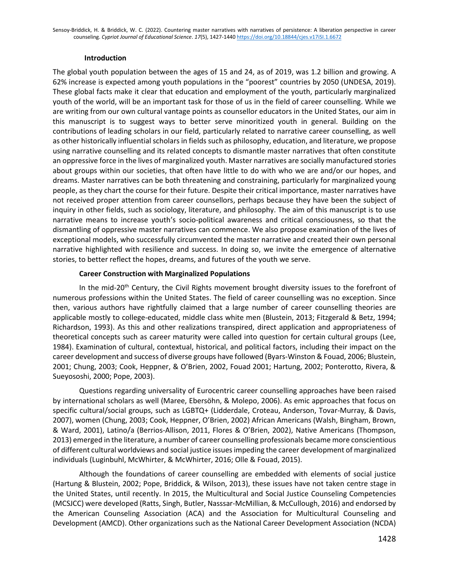## **Introduction**

The global youth population between the ages of 15 and 24, as of 2019, was 1.2 billion and growing. A 62% increase is expected among youth populations in the "poorest" countries by 2050 (UNDESA, 2019). These global facts make it clear that education and employment of the youth, particularly marginalized youth of the world, will be an important task for those of us in the field of career counselling. While we are writing from our own cultural vantage points as counsellor educators in the United States, our aim in this manuscript is to suggest ways to better serve minoritized youth in general. Building on the contributions of leading scholars in our field, particularly related to narrative career counselling, as well as other historically influential scholars in fields such as philosophy, education, and literature, we propose using narrative counselling and its related concepts to dismantle master narratives that often constitute an oppressive force in the lives of marginalized youth. Master narratives are socially manufactured stories about groups within our societies, that often have little to do with who we are and/or our hopes, and dreams. Master narratives can be both threatening and constraining, particularly for marginalized young people, as they chart the course for their future. Despite their critical importance, master narratives have not received proper attention from career counsellors, perhaps because they have been the subject of inquiry in other fields, such as sociology, literature, and philosophy. The aim of this manuscript is to use narrative means to increase youth's socio-political awareness and critical consciousness, so that the dismantling of oppressive master narratives can commence. We also propose examination of the lives of exceptional models, who successfully circumvented the master narrative and created their own personal narrative highlighted with resilience and success. In doing so, we invite the emergence of alternative stories, to better reflect the hopes, dreams, and futures of the youth we serve.

## **Career Construction with Marginalized Populations**

In the mid-20<sup>th</sup> Century, the Civil Rights movement brought diversity issues to the forefront of numerous professions within the United States. The field of career counselling was no exception. Since then, various authors have rightfully claimed that a large number of career counselling theories are applicable mostly to college-educated, middle class white men (Blustein, 2013; Fitzgerald & Betz, 1994; Richardson, 1993). As this and other realizations transpired, direct application and appropriateness of theoretical concepts such as career maturity were called into question for certain cultural groups (Lee, 1984). Examination of cultural, contextual, historical, and political factors, including their impact on the career development and success of diverse groups have followed (Byars-Winston & Fouad, 2006; Blustein, 2001; Chung, 2003; Cook, Heppner, & O'Brien, 2002, Fouad 2001; Hartung, 2002; Ponterotto, Rivera, & Sueyososhi, 2000; Pope, 2003).

Questions regarding universality of Eurocentric career counselling approaches have been raised by international scholars as well (Maree, Ebersöhn, & Molepo, 2006). As emic approaches that focus on specific cultural/social groups, such as LGBTQ+ (Lidderdale, Croteau, Anderson, Tovar-Murray, & Davis, 2007), women (Chung, 2003; Cook, Heppner, O'Brien, 2002) African Americans (Walsh, Bingham, Brown, & Ward, 2001), Latino/a (Berrios-Allison, 2011, Flores & O'Brien, 2002), Native Americans (Thompson, 2013) emerged in the literature, a number of career counselling professionals became more conscientious of different cultural worldviews and social justice issues impeding the career development of marginalized individuals (Luginbuhl, McWhirter, & McWhirter, 2016; Olle & Fouad, 2015).

Although the foundations of career counselling are embedded with elements of social justice (Hartung & Blustein, 2002; Pope, Briddick, & Wilson, 2013), these issues have not taken centre stage in the United States, until recently. In 2015, the Multicultural and Social Justice Counseling Competencies (MCSJCC) were developed (Ratts, Singh, Butler, Nasssar-McMillian, & McCullough, 2016) and endorsed by the American Counseling Association (ACA) and the Association for Multicultural Counseling and Development (AMCD). Other organizations such as the National Career Development Association (NCDA)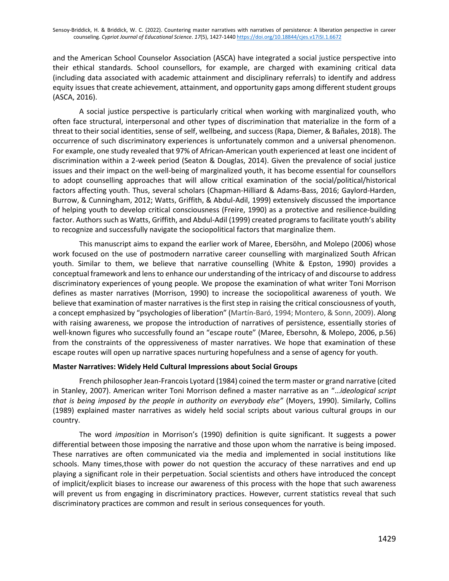and the American School Counselor Association (ASCA) have integrated a social justice perspective into their ethical standards. School counsellors, for example, are charged with examining critical data (including data associated with academic attainment and disciplinary referrals) to identify and address equity issues that create achievement, attainment, and opportunity gaps among different student groups (ASCA, 2016).

A social justice perspective is particularly critical when working with marginalized youth, who often face structural, interpersonal and other types of discrimination that materialize in the form of a threat to their social identities, sense of self, wellbeing, and success (Rapa, Diemer, & Bañales, 2018). The occurrence of such discriminatory experiences is unfortunately common and a universal phenomenon. For example, one study revealed that 97% of African-American youth experienced at least one incident of discrimination within a 2-week period (Seaton & Douglas, 2014). Given the prevalence of social justice issues and their impact on the well-being of marginalized youth, it has become essential for counsellors to adopt counselling approaches that will allow critical examination of the social/political/historical factors affecting youth. Thus, several scholars (Chapman-Hilliard & Adams-Bass, 2016; Gaylord-Harden, Burrow, & Cunningham, 2012; Watts, Griffith, & Abdul-Adil, 1999) extensively discussed the importance of helping youth to develop critical consciousness (Freire, 1990) as a protective and resilience-building factor. Authors such as Watts, Griffith, and Abdul-Adil (1999) created programs to facilitate youth's ability to recognize and successfully navigate the sociopolitical factors that marginalize them.

This manuscript aims to expand the earlier work of Maree, Ebersöhn, and Molepo (2006) whose work focused on the use of postmodern narrative career counselling with marginalized South African youth. Similar to them, we believe that narrative counselling (White & Epston, 1990) provides a conceptual framework and lens to enhance our understanding of the intricacy of and discourse to address discriminatory experiences of young people. We propose the examination of what writer Toni Morrison defines as master narratives (Morrison, 1990) to increase the sociopolitical awareness of youth. We believe that examination of master narratives is the first step in raising the critical consciousness of youth, a concept emphasized by "psychologies of liberation" (Martín-Baró, 1994; Montero, & Sonn, 2009). Along with raising awareness, we propose the introduction of narratives of persistence, essentially stories of well-known figures who successfully found an "escape route" (Maree, Ebersohn, & Molepo, 2006, p.56) from the constraints of the oppressiveness of master narratives. We hope that examination of these escape routes will open up narrative spaces nurturing hopefulness and a sense of agency for youth.

## **Master Narratives: Widely Held Cultural Impressions about Social Groups**

French philosopher Jean-Francois Lyotard (1984) coined the term master or grand narrative (cited in Stanley, 2007). American writer Toni Morrison defined a master narrative as an "…*ideological script that is being imposed by the people in authority on everybody else"* (Moyers, 1990). Similarly, Collins (1989) explained master narratives as widely held social scripts about various cultural groups in our country.

The word *imposition* in Morrison's (1990) definition is quite significant. It suggests a power differential between those imposing the narrative and those upon whom the narrative is being imposed. These narratives are often communicated via the media and implemented in social institutions like schools. Many times,those with power do not question the accuracy of these narratives and end up playing a significant role in their perpetuation. Social scientists and others have introduced the concept of implicit/explicit biases to increase our awareness of this process with the hope that such awareness will prevent us from engaging in discriminatory practices. However, current statistics reveal that such discriminatory practices are common and result in serious consequences for youth.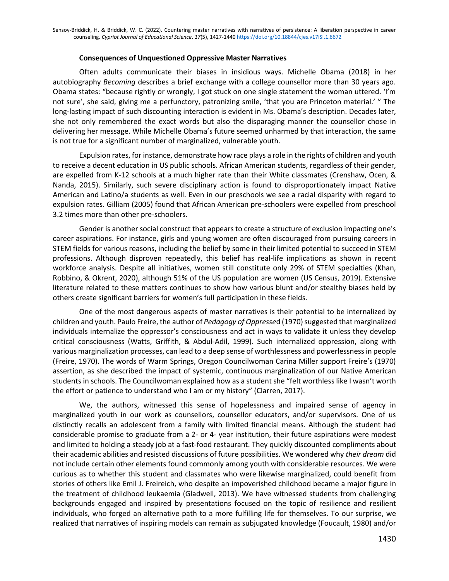#### **Consequences of Unquestioned Oppressive Master Narratives**

Often adults communicate their biases in insidious ways. Michelle Obama (2018) in her autobiography *Becoming* describes a brief exchange with a college counsellor more than 30 years ago. Obama states: "because rightly or wrongly, I got stuck on one single statement the woman uttered. 'I'm not sure', she said, giving me a perfunctory, patronizing smile, 'that you are Princeton material.' " The long-lasting impact of such discounting interaction is evident in Ms. Obama's description. Decades later, she not only remembered the exact words but also the disparaging manner the counsellor chose in delivering her message. While Michelle Obama's future seemed unharmed by that interaction, the same is not true for a significant number of marginalized, vulnerable youth.

Expulsion rates, for instance, demonstrate how race plays a role in the rights of children and youth to receive a decent education in US public schools. African American students, regardless of their gender, are expelled from K-12 schools at a much higher rate than their White classmates (Crenshaw, Ocen, & Nanda, 2015). Similarly, such severe disciplinary action is found to disproportionately impact Native American and Latino/a students as well. Even in our preschools we see a racial disparity with regard to expulsion rates. Gilliam (2005) found that African American pre-schoolers were expelled from preschool 3.2 times more than other pre-schoolers.

Gender is another social construct that appears to create a structure of exclusion impacting one's career aspirations. For instance, girls and young women are often discouraged from pursuing careers in STEM fields for various reasons, including the belief by some in their limited potential to succeed in STEM professions. Although disproven repeatedly, this belief has real-life implications as shown in recent workforce analysis. Despite all initiatives, women still constitute only 29% of STEM specialties (Khan, Robbino, & Okrent, 2020), although 51% of the US population are women (US Census, 2019). Extensive literature related to these matters continues to show how various blunt and/or stealthy biases held by others create significant barriers for women's full participation in these fields.

One of the most dangerous aspects of master narratives is their potential to be internalized by children and youth. Paulo Freire, the author of *Pedagogy of Oppresse*d (1970) suggested that marginalized individuals internalize the oppressor's consciousness and act in ways to validate it unless they develop critical consciousness (Watts, Griffith, & Abdul-Adil, 1999). Such internalized oppression, along with various marginalization processes, can lead to a deep sense of worthlessness and powerlessness in people (Freire, 1970). The words of Warm Springs, Oregon Councilwoman Carina Miller support Freire's (1970) assertion, as she described the impact of systemic, continuous marginalization of our Native American students in schools. The Councilwoman explained how as a student she "felt worthless like I wasn't worth the effort or patience to understand who I am or my history" (Clarren, 2017).

We, the authors, witnessed this sense of hopelessness and impaired sense of agency in marginalized youth in our work as counsellors, counsellor educators, and/or supervisors. One of us distinctly recalls an adolescent from a family with limited financial means. Although the student had considerable promise to graduate from a 2- or 4- year institution, their future aspirations were modest and limited to holding a steady job at a fast-food restaurant. They quickly discounted compliments about their academic abilities and resisted discussions of future possibilities. We wondered why *their dream* did not include certain other elements found commonly among youth with considerable resources. We were curious as to whether this student and classmates who were likewise marginalized, could benefit from stories of others like Emil J. Freireich, who despite an impoverished childhood became a major figure in the treatment of childhood leukaemia (Gladwell, 2013). We have witnessed students from challenging backgrounds engaged and inspired by presentations focused on the topic of resilience and resilient individuals, who forged an alternative path to a more fulfilling life for themselves. To our surprise, we realized that narratives of inspiring models can remain as subjugated knowledge (Foucault, 1980) and/or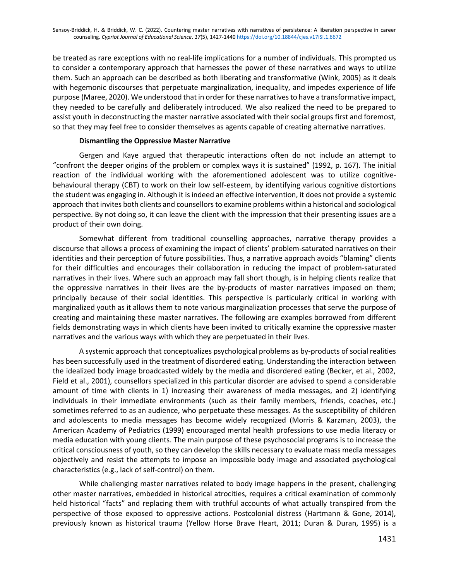be treated as rare exceptions with no real-life implications for a number of individuals. This prompted us to consider a contemporary approach that harnesses the power of these narratives and ways to utilize them. Such an approach can be described as both liberating and transformative (Wink, 2005) as it deals with hegemonic discourses that perpetuate marginalization, inequality, and impedes experience of life purpose (Maree, 2020). We understood that in order for these narratives to have a transformative impact, they needed to be carefully and deliberately introduced. We also realized the need to be prepared to assist youth in deconstructing the master narrative associated with their social groups first and foremost, so that they may feel free to consider themselves as agents capable of creating alternative narratives.

## **Dismantling the Oppressive Master Narrative**

Gergen and Kaye argued that therapeutic interactions often do not include an attempt to "confront the deeper origins of the problem or complex ways it is sustained" (1992, p. 167). The initial reaction of the individual working with the aforementioned adolescent was to utilize cognitivebehavioural therapy (CBT) to work on their low self-esteem, by identifying various cognitive distortions the student was engaging in. Although it is indeed an effective intervention, it does not provide a systemic approach that invites both clients and counsellors to examine problems within a historical and sociological perspective. By not doing so, it can leave the client with the impression that their presenting issues are a product of their own doing.

Somewhat different from traditional counselling approaches, narrative therapy provides a discourse that allows a process of examining the impact of clients' problem-saturated narratives on their identities and their perception of future possibilities. Thus, a narrative approach avoids "blaming" clients for their difficulties and encourages their collaboration in reducing the impact of problem-saturated narratives in their lives. Where such an approach may fall short though, is in helping clients realize that the oppressive narratives in their lives are the by-products of master narratives imposed on them; principally because of their social identities. This perspective is particularly critical in working with marginalized youth as it allows them to note various marginalization processes that serve the purpose of creating and maintaining these master narratives. The following are examples borrowed from different fields demonstrating ways in which clients have been invited to critically examine the oppressive master narratives and the various ways with which they are perpetuated in their lives.

A systemic approach that conceptualizes psychological problems as by-products of social realities has been successfully used in the treatment of disordered eating. Understanding the interaction between the idealized body image broadcasted widely by the media and disordered eating (Becker, et al., 2002, Field et al., 2001), counsellors specialized in this particular disorder are advised to spend a considerable amount of time with clients in 1) increasing their awareness of media messages, and 2) identifying individuals in their immediate environments (such as their family members, friends, coaches, etc.) sometimes referred to as an audience, who perpetuate these messages. As the susceptibility of children and adolescents to media messages has become widely recognized (Morris & Karzman, 2003), the American Academy of Pediatrics (1999) encouraged mental health professions to use media literacy or media education with young clients. The main purpose of these psychosocial programs is to increase the critical consciousness of youth, so they can develop the skills necessary to evaluate mass media messages objectively and resist the attempts to impose an impossible body image and associated psychological characteristics (e.g., lack of self-control) on them.

While challenging master narratives related to body image happens in the present, challenging other master narratives, embedded in historical atrocities, requires a critical examination of commonly held historical "facts" and replacing them with truthful accounts of what actually transpired from the perspective of those exposed to oppressive actions. Postcolonial distress (Hartmann & Gone, 2014), previously known as historical trauma (Yellow Horse Brave Heart, 2011; Duran & Duran, 1995) is a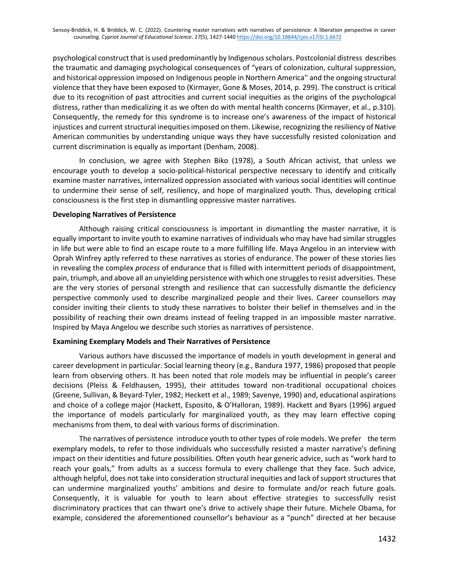psychological construct that is used predominantly by Indigenous scholars. Postcolonial distress describes the traumatic and damaging psychological consequences of "years of colonization, cultural suppression, and historical oppression imposed on Indigenous people in Northern America'' and the ongoing structural violence that they have been exposed to (Kirmayer, Gone & Moses, 2014, p. 299). The construct is critical due to its recognition of past attrocities and current social inequities as the origins of the psychological distress, rather than medicalizing it as we often do with mental health concerns (Kirmayer, et al., p.310). Consequently, the remedy for this syndrome is to increase one's awareness of the impact of historical injustices and current structural inequities imposed on them. Likewise, recognizing the resiliency of Native American communities by understanding unique ways they have successfully resisted colonization and current discrimination is equally as important (Denham, 2008).

In conclusion, we agree with Stephen Biko (1978), a South African activist, that unless we encourage youth to develop a socio-political-historical perspective necessary to identify and critically examine master narratives, internalized oppression associated with various social identities will continue to undermine their sense of self, resiliency, and hope of marginalized youth. Thus, developing critical consciousness is the first step in dismantling oppressive master narratives.

## **Developing Narratives of Persistence**

Although raising critical consciousness is important in dismantling the master narrative, it is equally important to invite youth to examine narratives of individuals who may have had similar struggles in life but were able to find an escape route to a more fulfilling life. Maya Angelou in an interview with Oprah Winfrey aptly referred to these narratives as stories of endurance. The power of these stories lies in revealing the complex *process* of endurance that is filled with intermittent periods of disappointment, pain, triumph, and above all an unyielding persistence with which one struggles to resist adversities. These are the very stories of personal strength and resilience that can successfully dismantle the deficiency perspective commonly used to describe marginalized people and their lives. Career counsellors may consider inviting their clients to study these narratives to bolster their belief in themselves and in the possibility of reaching their own dreams instead of feeling trapped in an impossible master narrative. Inspired by Maya Angelou we describe such stories as narratives of persistence.

## **Examining Exemplary Models and Their Narratives of Persistence**

Various authors have discussed the importance of models in youth development in general and career development in particular. Social learning theory (e.g., Bandura 1977, 1986) proposed that people learn from observing others. It has been noted that role models may be influential in people's career decisions (Pleiss & Feldhausen, 1995), their attitudes toward non-traditional occupational choices (Greene, Sullivan, & Beyard-Tyler, 1982; Heckett et al., 1989; Savenye, 1990) and, educational aspirations and choice of a college major (Hackett, Esposito, & O'Halloran, 1989). Hackett and Byars (1996) argued the importance of models particularly for marginalized youth, as they may learn effective coping mechanisms from them, to deal with various forms of discrimination.

The narratives of persistence introduce youth to other types of role models. We prefer the term exemplary models, to refer to those individuals who successfully resisted a master narrative's defining impact on their identities and future possibilities. Often youth hear generic advice, such as "work hard to reach your goals," from adults as a success formula to every challenge that they face. Such advice, although helpful, does not take into consideration structural inequities and lack of support structures that can undermine marginalized youths' ambitions and desire to formulate and/or reach future goals. Consequently, it is valuable for youth to learn about effective strategies to successfully resist discriminatory practices that can thwart one's drive to actively shape their future. Michele Obama, for example, considered the aforementioned counsellor's behaviour as a "punch" directed at her because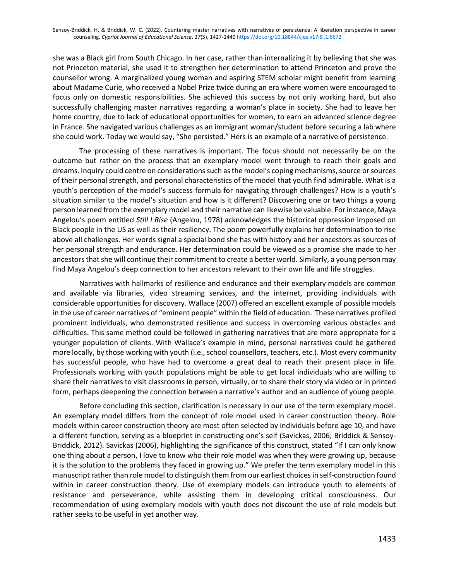she was a Black girl from South Chicago. In her case, rather than internalizing it by believing that she was not Princeton material, she used it to strengthen her determination to attend Princeton and prove the counsellor wrong. A marginalized young woman and aspiring STEM scholar might benefit from learning about Madame Curie, who received a Nobel Prize twice during an era where women were encouraged to focus only on domestic responsibilities. She achieved this success by not only working hard, but also successfully challenging master narratives regarding a woman's place in society. She had to leave her home country, due to lack of educational opportunities for women, to earn an advanced science degree in France. She navigated various challenges as an immigrant woman/student before securing a lab where she could work. Today we would say, "She persisted." Hers is an example of a narrative of persistence.

The processing of these narratives is important. The focus should not necessarily be on the outcome but rather on the process that an exemplary model went through to reach their goals and dreams. Inquiry could centre on considerations such as the model's coping mechanisms, source or sources of their personal strength, and personal characteristics of the model that youth find admirable. What is a youth's perception of the model's success formula for navigating through challenges? How is a youth's situation similar to the model's situation and how is it different? Discovering one or two things a young person learned from the exemplary model and their narrative can likewise be valuable. For instance, Maya Angelou's poem entitled *Still I Rise* (Angelou, 1978) acknowledges the historical oppression imposed on Black people in the US as well as their resiliency. The poem powerfully explains her determination to rise above all challenges. Her words signal a special bond she has with history and her ancestors as sources of her personal strength and endurance. Her determination could be viewed as a promise she made to her ancestors that she will continue their commitment to create a better world. Similarly, a young person may find Maya Angelou's deep connection to her ancestors relevant to their own life and life struggles.

Narratives with hallmarks of resilience and endurance and their exemplary models are common and available via libraries, video streaming services, and the internet, providing individuals with considerable opportunities for discovery. Wallace (2007) offered an excellent example of possible models in the use of career narratives of "eminent people" within the field of education. These narratives profiled prominent individuals, who demonstrated resilience and success in overcoming various obstacles and difficulties. This same method could be followed in gathering narratives that are more appropriate for a younger population of clients. With Wallace's example in mind, personal narratives could be gathered more locally, by those working with youth (i.e., school counsellors, teachers, etc.). Most every community has successful people, who have had to overcome a great deal to reach their present place in life. Professionals working with youth populations might be able to get local individuals who are willing to share their narratives to visit classrooms in person, virtually, or to share their story via video or in printed form, perhaps deepening the connection between a narrative's author and an audience of young people.

Before concluding this section, clarification is necessary in our use of the term exemplary model. An exemplary model differs from the concept of role model used in career construction theory. Role models within career construction theory are most often selected by individuals before age 10, and have a different function, serving as a blueprint in constructing one's self (Savickas, 2006; Briddick & Sensoy-Briddick, 2012). Savickas (2006), highlighting the significance of this construct, stated "If I can only know one thing about a person, I love to know who their role model was when they were growing up, because it is the solution to the problems they faced in growing up." We prefer the term exemplary model in this manuscript rather than role model to distinguish them from our earliest choices in self-construction found within in career construction theory. Use of exemplary models can introduce youth to elements of resistance and perseverance, while assisting them in developing critical consciousness. Our recommendation of using exemplary models with youth does not discount the use of role models but rather seeks to be useful in yet another way.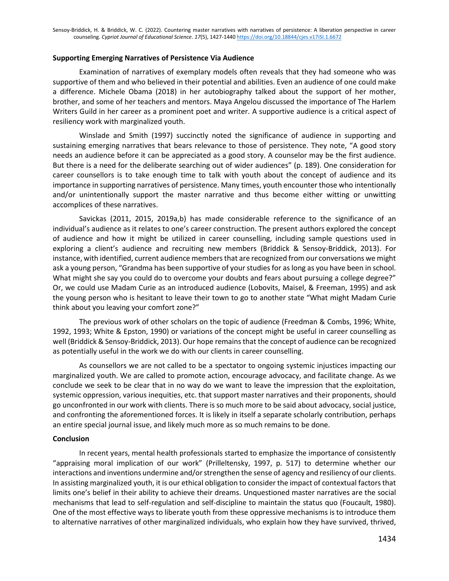#### **Supporting Emerging Narratives of Persistence Via Audience**

Examination of narratives of exemplary models often reveals that they had someone who was supportive of them and who believed in their potential and abilities. Even an audience of one could make a difference. Michele Obama (2018) in her autobiography talked about the support of her mother, brother, and some of her teachers and mentors. Maya Angelou discussed the importance of The Harlem Writers Guild in her career as a prominent poet and writer. A supportive audience is a critical aspect of resiliency work with marginalized youth.

Winslade and Smith (1997) succinctly noted the significance of audience in supporting and sustaining emerging narratives that bears relevance to those of persistence. They note, "A good story needs an audience before it can be appreciated as a good story. A counselor may be the first audience. But there is a need for the deliberate searching out of wider audiences" (p. 189). One consideration for career counsellors is to take enough time to talk with youth about the concept of audience and its importance in supporting narratives of persistence. Many times, youth encounter those who intentionally and/or unintentionally support the master narrative and thus become either witting or unwitting accomplices of these narratives.

Savickas (2011, 2015, 2019a,b) has made considerable reference to the significance of an individual's audience as it relates to one's career construction. The present authors explored the concept of audience and how it might be utilized in career counselling, including sample questions used in exploring a client's audience and recruiting new members (Briddick & Sensoy-Briddick, 2013). For instance, with identified, current audience members that are recognized from our conversations we might ask a young person, "Grandma has been supportive of your studies for as long as you have been in school. What might she say you could do to overcome your doubts and fears about pursuing a college degree?" Or, we could use Madam Curie as an introduced audience (Lobovits, Maisel, & Freeman, 1995) and ask the young person who is hesitant to leave their town to go to another state "What might Madam Curie think about you leaving your comfort zone?"

The previous work of other scholars on the topic of audience (Freedman & Combs, 1996; White, 1992, 1993; White & Epston, 1990) or variations of the concept might be useful in career counselling as well (Briddick & Sensoy-Briddick, 2013). Our hope remainsthat the concept of audience can be recognized as potentially useful in the work we do with our clients in career counselling.

As counsellors we are not called to be a spectator to ongoing systemic injustices impacting our marginalized youth. We are called to promote action, encourage advocacy, and facilitate change. As we conclude we seek to be clear that in no way do we want to leave the impression that the exploitation, systemic oppression, various inequities, etc. that support master narratives and their proponents, should go unconfronted in our work with clients. There is so much more to be said about advocacy, social justice, and confronting the aforementioned forces. It is likely in itself a separate scholarly contribution, perhaps an entire special journal issue, and likely much more as so much remains to be done.

#### **Conclusion**

In recent years, mental health professionals started to emphasize the importance of consistently "appraising moral implication of our work" (Prilleltensky, 1997, p. 517) to determine whether our interactions and inventions undermine and/or strengthen the sense of agency and resiliency of our clients. In assisting marginalized youth, it is our ethical obligation to consider the impact of contextual factors that limits one's belief in their ability to achieve their dreams. Unquestioned master narratives are the social mechanisms that lead to self-regulation and self-discipline to maintain the status quo (Foucault, 1980). One of the most effective ways to liberate youth from these oppressive mechanisms is to introduce them to alternative narratives of other marginalized individuals, who explain how they have survived, thrived,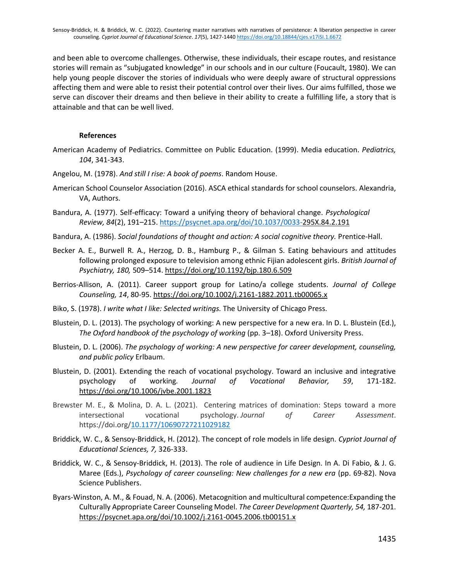and been able to overcome challenges. Otherwise, these individuals, their escape routes, and resistance stories will remain as "subjugated knowledge" in our schools and in our culture (Foucault, 1980). We can help young people discover the stories of individuals who were deeply aware of structural oppressions affecting them and were able to resist their potential control over their lives. Our aims fulfilled, those we serve can discover their dreams and then believe in their ability to create a fulfilling life, a story that is attainable and that can be well lived.

#### **References**

- American Academy of Pediatrics. Committee on Public Education. (1999). Media education. *Pediatrics, 104*, 341-343.
- Angelou, M. (1978). *And still I rise: A book of poems*. Random House.
- American School Counselor Association (2016). ASCA ethical standards for school counselors. Alexandria, VA, Authors.
- Bandura, A. (1977). Self-efficacy: Toward a unifying theory of behavioral change. *Psychological Review, 84*(2), 191–215. [https://psycnet.apa.org/doi/10.1037/0033-2](https://psycnet.apa.org/doi/10.1037/0033-)95X.84.2.191
- Bandura, A. (1986). *Social foundations of thought and action: A social cognitive theory.* Prentice-Hall.
- Becker A. E., Burwell R. A., Herzog, D. B., Hamburg P., & Gilman S. Eating behaviours and attitudes following prolonged exposure to television among ethnic Fijian adolescent girls. *British Journal of Psychiatry, 180,* 509–514. <https://doi.org/10.1192/bjp.180.6.509>
- Berrios-Allison, A. (2011). Career support group for Latino/a college students. *Journal of College Counseling, 14*, 80-95. [https://doi.org/10.1002/j.2161-1882.2011.tb00065.x](https://psycnet.apa.org/doi/10.1002/j.2161-1882.2011.tb00065.x)
- Biko, S. (1978). *I write what I like: Selected writings.* The University of Chicago Press.
- Blustein, D. L. (2013). The psychology of working: A new perspective for a new era. In D. L. Blustein (Ed.), *The Oxford handbook of the psychology of working* (pp. 3–18). Oxford University Press.
- Blustein, D. L. (2006). *The psychology of working: A new perspective for career development, counseling, and public policy* Erlbaum.
- Blustein, D. (2001). Extending the reach of vocational psychology. Toward an inclusive and integrative psychology of working*. Journal of Vocational Behavior, 59*, 171-182. <https://doi.org/10.1006/jvbe.2001.1823>
- Brewster M. E., & Molina, D. A. L. (2021). Centering matrices of domination: Steps toward a more intersectional vocational psychology. *Journal of Career Assessment*. https://doi.org[/10.1177/10690727211029182](https://doi.org/10.1177/10690727211029182)
- Briddick, W. C., & Sensoy-Briddick, H. (2012). The concept of role models in life design. *Cypriot Journal of Educational Sciences, 7,* 326-333.
- Briddick, W. C., & Sensoy-Briddick, H. (2013). The role of audience in Life Design. In A. Di Fabio, & J. G. Maree (Eds.), *Psychology of career counseling: New challenges for a new era* (pp. 69-82). Nova Science Publishers.
- Byars-Winston, A. M., & Fouad, N. A. (2006). Metacognition and multicultural competence:Expanding the Culturally Appropriate Career Counseling Model. *The Career Development Quarterly, 54,* 187-201. <https://psycnet.apa.org/doi/10.1002/j.2161-0045.2006.tb00151.x>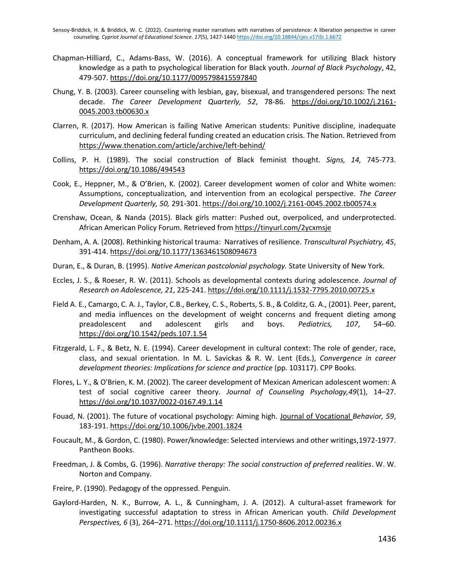Sensoy-Briddick, H. & Briddick, W. C. (2022). Countering master narratives with narratives of persistence: A liberation perspective in career counseling. *Cypriot Journal of Educational Science*. *17*(5), 1427-1440 <https://doi.org/10.18844/cjes.v17iSI.1.6672>

- Chapman-Hilliard, C., Adams-Bass, W. (2016). A conceptual framework for utilizing Black history knowledge as a path to psychological liberation for Black youth. *Journal of Black Psychology*, 42, 479-507. [https://doi.org/10.1177/0095798415597840](https://doi.org/10.1177%2F0095798415597840)
- Chung, Y. B. (2003). Career counseling with lesbian, gay, bisexual, and transgendered persons: The next decade. *The Career Development Quarterly, 52*, 78-86. [https://doi.org/10.1002/j.2161-](https://doi.org/10.1002/j.2161-0045.2003.tb00630.x) [0045.2003.tb00630.x](https://doi.org/10.1002/j.2161-0045.2003.tb00630.x)
- Clarren, R. (2017). How American is failing Native American students: Punitive discipline, inadequate curriculum, and declining federal funding created an education crisis. The Nation. Retrieved from <https://www.thenation.com/article/archive/left-behind/>
- Collins, P. H. (1989). The social construction of Black feminist thought. *Signs, 14,* 745-773. [https://doi.org/10.1086/494543](https://psycnet.apa.org/doi/10.1086/494543)
- Cook, E., Heppner, M., & O'Brien, K. (2002). Career development women of color and White women: Assumptions, conceptualization, and intervention from an ecological perspective. *The Career Development Quarterly, 50,* 291-301. <https://doi.org/10.1002/j.2161-0045.2002.tb00574.x>
- Crenshaw, Ocean, & Nanda (2015). Black girls matter: Pushed out, overpoliced, and underprotected. African American Policy Forum. Retrieved fro[m https://tinyurl.com/2ycxmsje](https://tinyurl.com/2ycxmsje)
- Denham, A. A. (2008). Rethinking historical trauma: Narratives of resilience. *Transcultural Psychiatry, 45*, 391-414. [https://doi.org/10.1177/1363461508094673](https://doi.org/10.1177%2F1363461508094673)
- Duran, E., & Duran, B. (1995). *Native American postcolonial psychology.* State University of New York.
- Eccles, J. S., & Roeser, R. W. (2011). Schools as developmental contexts during adolescence. *Journal of Research on Adolescence, 21*, 225-241. [https://doi.org/10.1111/j.1532-7795.2010.00725.x](https://psycnet.apa.org/doi/10.1111/j.1532-7795.2010.00725.x)
- Field A. E., Camargo, C. A. J., Taylor, C.B., Berkey, C. S., Roberts, S. B., & Colditz, G. A., (2001). Peer, parent, and media influences on the development of weight concerns and frequent dieting among preadolescent and adolescent girls and boys. *Pediatrics, 107*, 54–60. <https://doi.org/10.1542/peds.107.1.54>
- Fitzgerald, L. F., & Betz, N. E. (1994). Career development in cultural context: The role of gender, race, class, and sexual orientation. In M. L. Savickas & R. W. Lent (Eds.), *Convergence in career development theories: Implications for science and practice* (pp. 103117). CPP Books.
- Flores, L. Y., & O'Brien, K. M. (2002). The career development of Mexican American adolescent women: A test of social cognitive career theory. *Journal of Counseling Psychology,49*(1), 14–27. [https://doi.org/10.1037/0022-0167.49.1.14](https://psycnet.apa.org/doi/10.1037/0022-0167.49.1.14)
- Fouad, N. (2001). The future of vocational psychology: Aiming high. Journal of Vocational *Behavior, 59*, 183-191. [https://doi.org/10.1006/jvbe.2001.1824](https://psycnet.apa.org/doi/10.1006/jvbe.2001.1824)
- Foucault, M., & Gordon, C. (1980). Power/knowledge: Selected interviews and other writings,1972-1977. Pantheon Books.
- Freedman, J. & Combs, G. (1996). *Narrative therapy: The social construction of preferred realities*. W. W. Norton and Company.
- Freire, P. (1990). Pedagogy of the oppressed. Penguin.
- Gaylord‐Harden, N. K., Burrow, A. L., & Cunningham, J. A. (2012). A cultural‐asset framework for investigating successful adaptation to stress in African American youth. *Child Development Perspectives, 6* (3), 264–271. [https://doi.org/10.1111/j.1750-8606.2012.00236.x](https://psycnet.apa.org/doi/10.1111/j.1750-8606.2012.00236.x)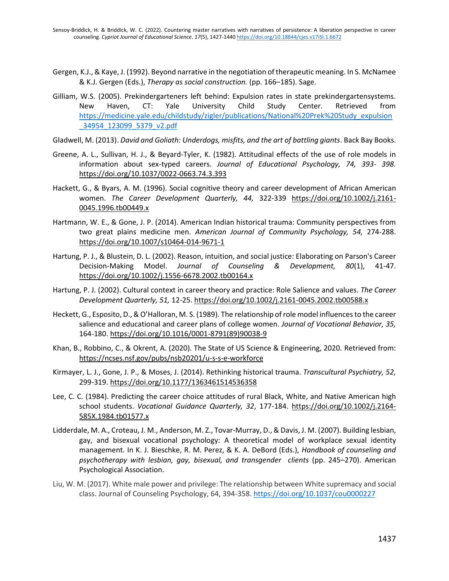- Gergen, K.J., & Kaye, J. (1992). Beyond narrative in the negotiation of therapeutic meaning. In S. McNamee & K.J. Gergen (Eds.), *Therapy as social construction.* (pp. 166–185). Sage.
- Gilliam, W.S. (2005). Prekindergarteners left behind: Expulsion rates in state prekindergartensystems. New Haven, CT: Yale University Child Study Center. Retrieved from [https://medicine.yale.edu/childstudy/zigler/publications/National%20Prek%20Study\\_expulsion](https://medicine.yale.edu/childstudy/zigler/publications/National%20Prek%20Study_expulsion_34954_123099_5379_v2.pdf) [\\_34954\\_123099\\_5379\\_v2.pdf](https://medicine.yale.edu/childstudy/zigler/publications/National%20Prek%20Study_expulsion_34954_123099_5379_v2.pdf)
- Gladwell, M. (2013). *David and Goliath: Underdogs, misfits, and the art of battling giants*. Back Bay Books.
- Greene, A. L., Sullivan, H. J., & Beyard-Tyler, K. (1982). Attitudinal effects of the use of role models in information about sex-typed careers. *Journal of Educational Psychology, 74, 393- 398.* [https://doi.org/10.1037/0022-0663.74.3.393](https://psycnet.apa.org/doi/10.1037/0022-0663.74.3.393)
- Hackett, G., & Byars, A. M. (1996). Social cognitive theory and career development of African American women. *The Career Development Quarterly, 44,* 322-339 [https://doi.org/10.1002/j.2161-](https://doi.org/10.1002/j.2161-0045.1996.tb00449.x) [0045.1996.tb00449.x](https://doi.org/10.1002/j.2161-0045.1996.tb00449.x)
- Hartmann, W. E., & Gone, J. P. (2014). American Indian historical trauma: Community perspectives from two great plains medicine men. *American Journal of Community Psychology, 54,* 274-288. <https://doi.org/10.1007/s10464-014-9671-1>
- Hartung, P. J., & Blustein, D. L. (2002). Reason, intuition, and social justice: Elaborating on Parson's Career Decision-Making Model. *Journal of Counseling & Development, 80*(1), 41-47. [https://doi.org/10.1002/j.1556-6678.2002.tb00164.x](https://psycnet.apa.org/doi/10.1002/j.1556-6678.2002.tb00164.x)
- Hartung, P. J. (2002). Cultural context in career theory and practice: Role Salience and values. *The Career Development Quarterly, 51,* 12-25. [https://doi.org/10.1002/j.2161-0045.2002.tb00588.x](https://psycnet.apa.org/doi/10.1002/j.2161-0045.2002.tb00588.x)
- Heckett, G., Esposito, D., & O'Halloran, M. S. (1989). The relationship of role model influences to the career salience and educational and career plans of college women. *Journal of Vocational Behavior, 35,* 164-180. [https://doi.org/10.1016/0001-8791\(89\)90038-9](https://psycnet.apa.org/doi/10.1016/0001-8791(89)90038-9)
- Khan, B., Robbino, C., & Okrent, A. (2020). The State of US Science & Engineering, 2020. Retrieved from: <https://ncses.nsf.gov/pubs/nsb20201/u-s-s-e-workforce>
- Kirmayer, L. J., Gone, J. P., & Moses, J. (2014). Rethinking historical trauma. *Transcultural Psychiatry, 52,* 299-319. [https://doi.org/10.1177/1363461514536358](https://doi.org/10.1177%2F1363461514536358)
- Lee, C. C. (1984). Predicting the career choice attitudes of rural Black, White, and Native American high school students. *Vocational Guidance Quarterly, 32*, 177-184. [https://doi.org/10.1002/j.2164-](https://psycnet.apa.org/doi/10.1002/j.2164-585X.1984.tb01577.x) [585X.1984.tb01577.x](https://psycnet.apa.org/doi/10.1002/j.2164-585X.1984.tb01577.x)
- Lidderdale, M. A., Croteau, J. M., Anderson, M. Z., Tovar-Murray, D., & Davis, J. M. (2007). Building lesbian, gay, and bisexual vocational psychology: A theoretical model of workplace sexual identity management. In K. J. Bieschke, R. M. Perez, & K. A. DeBord (Eds.), *Handbook of counseling and psychotherapy with lesbian, gay, bisexual, and transgender clients* (pp. 245–270). American Psychological Association.
- Liu, W. M. (2017). White male power and privilege: The relationship between White supremacy and social class. Journal of Counseling Psychology, 64, 394-358.<https://doi.org/10.1037/cou0000227>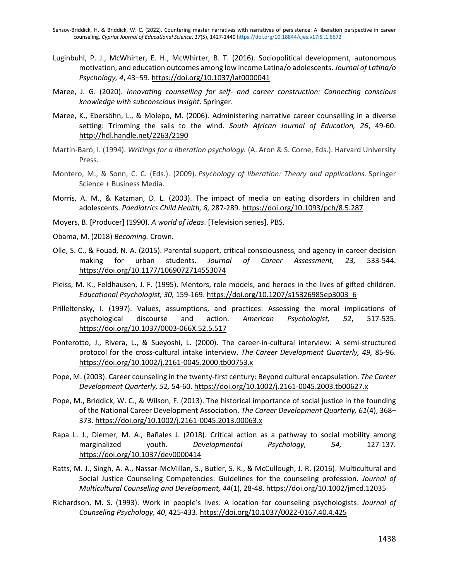- Luginbuhl, P. J., McWhirter, E. H., McWhirter, B. T. (2016). Sociopolitical development, autonomous motivation, and education outcomes among low income Latina/o adolescents. *Journal of Latina/o Psychology, 4*, 43–59. [https://doi.org/10.1037/lat0000041](https://psycnet.apa.org/doi/10.1037/lat0000041)
- Maree, J. G. (2020). *Innovating counselling for self- and career construction: Connecting conscious knowledge with subconscious insight*. Springer.
- Maree, K., Ebersöhn, L., & Molepo, M. (2006). Administering narrative career counselling in a diverse setting: Trimming the sails to the wind. *South African Journal of Education, 26*, 49-60. <http://hdl.handle.net/2263/2190>
- Martín-Baró, I. (1994). *Writings for a liberation psychology.* (A. Aron & S. Corne, Eds.). Harvard University Press.
- Montero, M., & Sonn, C. C. (Eds.). (2009). *Psychology of liberation: Theory and applications.* Springer Science + Business Media.
- Morris, A. M., & Katzman, D. L. (2003). The impact of media on eating disorders in children and adolescents. *Paediatrics Child Health, 8,* 287-289. <https://doi.org/10.1093/pch/8.5.287>
- Moyers, B. [Producer] (1990). *A world of ideas*. [Television series]. PBS.
- Obama, M. (2018) *Becoming.* Crown.
- Olle, S. C., & Fouad, N. A. (2015). Parental support, critical consciousness, and agency in career decision making for urban students. *Journal of Career Assessment, 23,* 533-544. [https://doi.org/10.1177/1069072714553074](https://doi.org/10.1177%2F1069072714553074)
- Pleiss, M. K., Feldhausen, J. F. (1995). Mentors, role models, and heroes in the lives of gifted children. *Educational Psychologist, 30,* 159-169. [https://doi.org/10.1207/s15326985ep3003\\_6](https://doi.org/10.1207/s15326985ep3003_6)
- Prilleltensky, I. (1997). Values, assumptions, and practices: Assessing the moral implications of psychological discourse and action. *American Psychologist, 52*, 517-535. [https://doi.org/10.1037/0003-066X.52.5.517](https://psycnet.apa.org/doi/10.1037/0003-066X.52.5.517)
- Ponterotto, J., Rivera, L., & Sueyoshi, L. (2000). The career-in-cultural interview: A semi-structured protocol for the cross-cultural intake interview. *The Career Development Quarterly, 49,* 85-96. [https://doi.org/10.1002/j.2161-0045.2000.tb00753.x](https://psycnet.apa.org/doi/10.1002/j.2161-0045.2000.tb00753.x)
- Pope, M. (2003). Career counseling in the twenty-first century: Beyond cultural encapsulation. *The Career Development Quarterly, 52,* 54-60. <https://doi.org/10.1002/j.2161-0045.2003.tb00627.x>
- Pope, M., Briddick, W. C., & Wilson, F. (2013). The historical importance of social justice in the founding of the National Career Development Association. *The Career Development Quarterly, 61*(4), 368– 373. [https://doi.org/10.1002/j.2161-0045.2013.00063.x](https://psycnet.apa.org/doi/10.1002/j.2161-0045.2013.00063.x)
- Rapa L. J., Diemer, M. A., Bañales J. (2018). Critical action as a pathway to social mobility among marginalized youth. *Developmental Psychology, 54,* 127-137. [https://doi.org/10.1037/dev0000414](https://psycnet.apa.org/doi/10.1037/dev0000414)
- Ratts, M. J., Singh, A. A., Nassar‐McMillan, S., Butler, S. K., & McCullough, J. R. (2016). Multicultural and Social Justice Counseling Competencies: Guidelines for the counseling profession. *Journal of Multicultural Counseling and Development, 44*(1), 28-48. [https://doi.org/10.1002/jmcd.12035](https://psycnet.apa.org/doi/10.1002/jmcd.12035)
- Richardson, M. S. (1993). Work in people's lives: A location for counseling psychologists. *Journal of Counseling Psychology, 40*, 425-433. [https://doi.org/10.1037/0022-0167.40.4.425](https://psycnet.apa.org/doi/10.1037/0022-0167.40.4.425)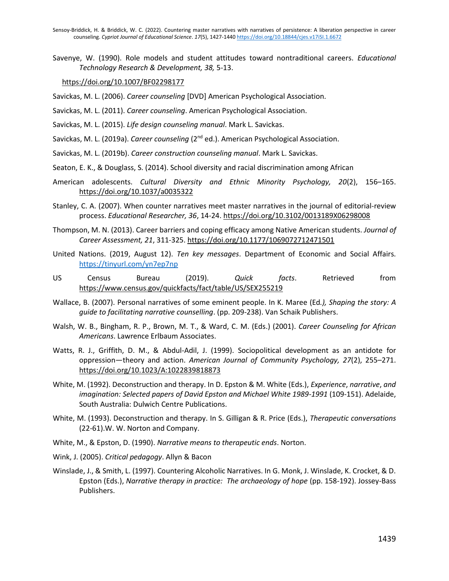Sensoy-Briddick, H. & Briddick, W. C. (2022). Countering master narratives with narratives of persistence: A liberation perspective in career counseling. *Cypriot Journal of Educational Science*. *17*(5), 1427-1440 <https://doi.org/10.18844/cjes.v17iSI.1.6672>

Savenye, W. (1990). Role models and student attitudes toward nontraditional careers. *Educational Technology Research & Development, 38,* 5-13.

#### [https://doi.org/10.1007/BF02298177](https://psycnet.apa.org/doi/10.1007/BF02298177)

- Savickas, M. L. (2006). *Career counseling* [DVD] American Psychological Association.
- Savickas, M. L. (2011). *Career counseling*. American Psychological Association.
- Savickas, M. L. (2015). *Life design counseling manual*. Mark L. Savickas.
- Savickas, M. L. (2019a). *Career counseling* (2<sup>nd</sup> ed.). American Psychological Association.
- Savickas, M. L. (2019b). *Career construction counseling manual*. Mark L. Savickas.
- Seaton, E. K., & Douglass, S. (2014). School diversity and racial discrimination among African
- American adolescents. *Cultural Diversity and Ethnic Minority Psychology, 20*(2), 156–165. [https://doi.org/10.1037/a0035322](https://psycnet.apa.org/doi/10.1037/a0035322)
- Stanley, C. A. (2007). When counter narratives meet master narratives in the journal of editorial-review process. *Educational Researcher, 36*, 14-24[. https://doi.org/10.3102/0013189X06298008](https://psycnet.apa.org/doi/10.3102/0013189X06298008)
- Thompson, M. N. (2013). Career barriers and coping efficacy among Native American students. *Journal of Career Assessment, 21*, 311-325. [https://doi.org/10.1177/1069072712471501](https://psycnet.apa.org/doi/10.1177/1069072712471501)
- United Nations. (2019, August 12). *Ten key messages*. Department of Economic and Social Affairs. <https://tinyurl.com/yn7ep7np>
- US Census Bureau (2019). *Quick facts*. Retrieved from <https://www.census.gov/quickfacts/fact/table/US/SEX255219>
- Wallace, B. (2007). Personal narratives of some eminent people. In K. Maree (Ed*.), Shaping the story: A guide to facilitating narrative counselling*. (pp. 209-238). Van Schaik Publishers.
- Walsh, W. B., Bingham, R. P., Brown, M. T., & Ward, C. M. (Eds.) (2001). *Career Counseling for African Americans*. Lawrence Erlbaum Associates.
- Watts, R. J., Griffith, D. M., & Abdul-Adil, J. (1999). Sociopolitical development as an antidote for oppression—theory and action. *American Journal of Community Psychology, 27*(2), 255–271. [https://doi.org/10.1023/A:1022839818873](https://psycnet.apa.org/doi/10.1023/A:1022839818873)
- White, M. (1992). Deconstruction and therapy. In D. Epston & M. White (Eds.), *Experience*, *narrative*, *and imagination: Selected papers of David Epston and Michael White 1989-1991* (109-151). Adelaide, South Australia: Dulwich Centre Publications.
- White, M. (1993). Deconstruction and therapy. In S. Gilligan & R. Price (Eds.), *Therapeutic conversations* (22-61).W. W. Norton and Company.
- White, M., & Epston, D. (1990). *Narrative means to therapeutic ends*. Norton.
- Wink, J. (2005). *Critical pedagogy*. Allyn & Bacon
- Winslade, J., & Smith, L. (1997). Countering Alcoholic Narratives. In G. Monk, J. Winslade, K. Crocket, & D. Epston (Eds.), *Narrative therapy in practice: The archaeology of hope* (pp. 158-192). Jossey-Bass Publishers.